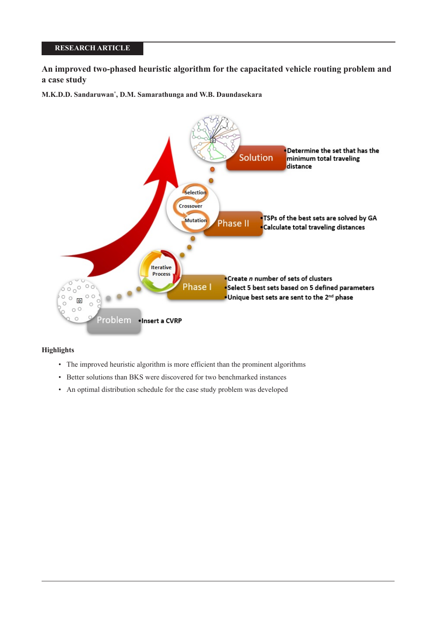# **RESEARCH ARTICLE**

**An improved two-phased heuristic algorithm for the capacitated vehicle routing problem and a case study**

**M.K.D.D. Sandaruwan\* , D.M. Samarathunga and W.B. Daundasekara**



## **Highlights**

- The improved heuristic algorithm is more efficient than the prominent algorithms
- Better solutions than BKS were discovered for two benchmarked instances
- An optimal distribution schedule for the case study problem was developed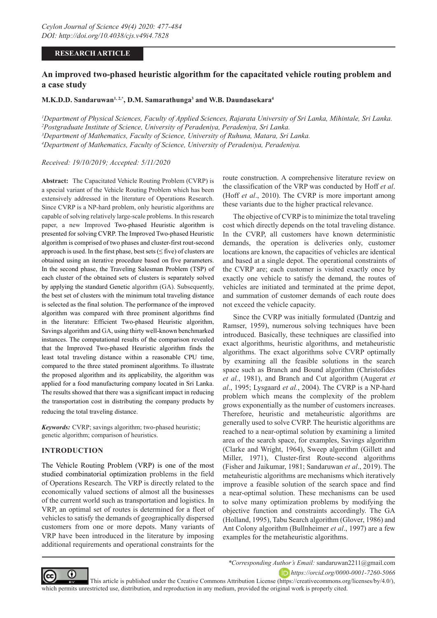## **RESEARCH ARTICLE**

# **An improved two-phased heuristic algorithm for the capacitated vehicle routing problem and a case study**

**M.K.D.D. Sandaruwan1, 2,\*, D.M. Samarathunga3 and W.B. Daundasekara4**

*1 Department of Physical Sciences, Faculty of Applied Sciences, Rajarata University of Sri Lanka, Mihintale, Sri Lanka. 2 Postgraduate Institute of Science, University of Peradeniya, Peradeniya, Sri Lanka. 3 Department of Mathematics, Faculty of Science, University of Ruhuna, Matara, Sri Lanka.*

*4 Department of Mathematics, Faculty of Science, University of Peradeniya, Peradeniya.* 

*Received: 19/10/2019; Accepted: 5/11/2020*

**Abstract:** The Capacitated Vehicle Routing Problem (CVRP) is a special variant of the Vehicle Routing Problem which has been extensively addressed in the literature of Operations Research. Since CVRP is a NP-hard problem, only heuristic algorithms are capable of solving relatively large-scale problems. In this research paper, a new Improved Two-phased Heuristic algorithm is presented for solving CVRP. The Improved Two-phased Heuristic algorithm is comprised of two phases and cluster-first rout-second approach is used. In the first phase, best sets  $(\leq$  five) of clusters are obtained using an iterative procedure based on five parameters. In the second phase, the Traveling Salesman Problem (TSP) of each cluster of the obtained sets of clusters is separately solved by applying the standard Genetic algorithm (GA). Subsequently, the best set of clusters with the minimum total traveling distance is selected as the final solution. The performance of the improved algorithm was compared with three prominent algorithms find in the literature: Efficient Two-phased Heuristic algorithm, Savings algorithm and GA, using thirty well-known benchmarked instances. The computational results of the comparison revealed that the Improved Two-phased Heuristic algorithm finds the least total traveling distance within a reasonable CPU time, compared to the three stated prominent algorithms. To illustrate the proposed algorithm and its applicability, the algorithm was applied for a food manufacturing company located in Sri Lanka. The results showed that there was a significant impact in reducing the transportation cost in distributing the company products by reducing the total traveling distance.

*Keywords:* CVRP; savings algorithm; two-phased heuristic; genetic algorithm; comparison of heuristics.

### **INTRODUCTION**

The Vehicle Routing Problem (VRP) is one of the most studied combinatorial optimization problems in the field of Operations Research. The VRP is directly related to the economically valued sections of almost all the businesses of the current world such as transportation and logistics. In VRP, an optimal set of routes is determined for a fleet of vehicles to satisfy the demands of geographically dispersed customers from one or more depots. Many variants of VRP have been introduced in the literature by imposing additional requirements and operational constraints for the

route construction. A comprehensive literature review on the classification of the VRP was conducted by Hoff *et al*. (Hoff *et al*., 2010). The CVRP is more important among these variants due to the higher practical relevance.

The objective of CVRP is to minimize the total traveling cost which directly depends on the total traveling distance. In the CVRP, all customers have known deterministic demands, the operation is deliveries only, customer locations are known, the capacities of vehicles are identical and based at a single depot. The operational constraints of the CVRP are; each customer is visited exactly once by exactly one vehicle to satisfy the demand, the routes of vehicles are initiated and terminated at the prime depot, and summation of customer demands of each route does not exceed the vehicle capacity.

Since the CVRP was initially formulated (Dantzig and Ramser, 1959), numerous solving techniques have been introduced. Basically, these techniques are classified into exact algorithms, heuristic algorithms, and metaheuristic algorithms. The exact algorithms solve CVRP optimally by examining all the feasible solutions in the search space such as Branch and Bound algorithm (Christofides *et al.*, 1981), and Branch and Cut algorithm (Augerat *et al*., 1995; Lysgaard *et al.*, 2004). The CVRP is a NP-hard problem which means the complexity of the problem grows exponentially as the number of customers increases. Therefore, heuristic and metaheuristic algorithms are generally used to solve CVRP. The heuristic algorithms are reached to a near-optimal solution by examining a limited area of the search space, for examples, Savings algorithm (Clarke and Wright, 1964), Sweep algorithm (Gillett and Miller, 1971), Cluster-first Route-second algorithms (Fisher and Jaikumar, 1981; Sandaruwan *et al*., 2019). The metaheuristic algorithms are mechanisms which iteratively improve a feasible solution of the search space and find a near-optimal solution. These mechanisms can be used to solve many optimization problems by modifying the objective function and constraints accordingly. The GA (Holland, 1995), Tabu Search algorithm (Glover, 1986) and Ant Colony algorithm (Bullnheimer *et al*., 1997) are a few examples for the metaheuristic algorithms.



*\*Corresponding Author's Email:* sandaruwan2211@gmail.com

*https://orcid.org/0000-0001-7260-5066* 

 This article is published under the Creative Commons Attribution License (https://creativecommons.org/licenses/by/4.0/), which permits unrestricted use, distribution, and reproduction in any medium, provided the original work is properly cited.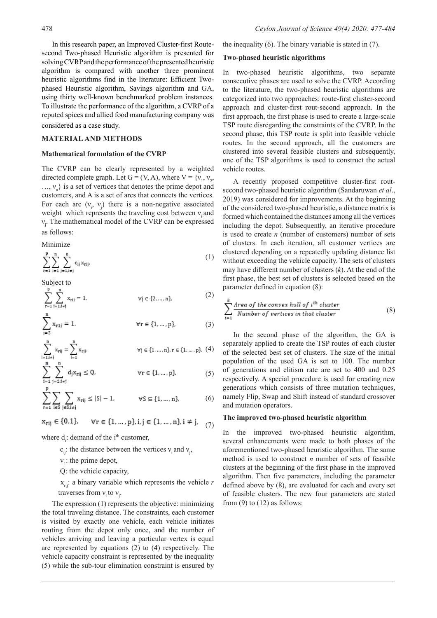In this research paper, an Improved Cluster-first Routesecond Two-phased Heuristic algorithm is presented for solving CVRP and the performance of the presented heuristic algorithm is compared with another three prominent heuristic algorithms find in the literature: Efficient Twophased Heuristic algorithm, Savings algorithm and GA, using thirty well-known benchmarked problem instances. To illustrate the performance of the algorithm, a CVRP of a reputed spices and allied food manufacturing company was considered as a case study.

### **MATERIAL AND METHODS**

#### **Mathematical formulation of the CVRP**

The CVRP can be clearly represented by a weighted directed complete graph. Let  $G = (V, A)$ , where  $V = \{v_1, v_2,$  $..., v_n$ } is a set of vertices that denotes the prime depot and customers, and A is a set of arcs that connects the vertices. For each arc  $(v_i, v_j)$  there is a non-negative associated weight which represents the traveling cost between  $v_i$  and νj . The mathematical model of the CVRP can be expressed as follows:

Minimize

$$
\sum_{r=1}^{p} \sum_{i=1}^{n} \sum_{j=1, i \neq j}^{n} c_{ij} x_{rij}.
$$
 (1)

Subject to

$$
\sum_{r=1}^{P} \sum_{i=1,i \neq j}^{n} x_{rij} = 1, \qquad \forall j \in \{2, ..., n\},
$$
 (2)

$$
\sum_{j=2}^{n} x_{r1j} = 1, \qquad \forall r \in \{1, ..., p\},
$$
 (3)

$$
\sum_{\substack{i=1, i\neq j\\n}}^{n} x_{rij} = \sum_{i=1}^{n} x_{rij}.
$$
\n
$$
\forall j \in \{1, \dots, n\}, r \in \{1, \dots, p\}, (4)
$$

$$
\sum_{i=1} \sum_{j=2, i \neq j} d_j x_{rij} \le Q, \qquad \forall r \in \{1, \dots, p\},\tag{5}
$$

$$
\sum_{r=1}^{N} \sum_{i \in S} \sum_{j \in S, i \neq j} x_{rij} \le |S| - 1, \qquad \forall S \subseteq \{1, \dots, n\},\tag{6}
$$

 $\forall r \in \{1, ..., p\}, i, j \in \{1, ..., n\}, i \neq j,$  (7)  $x_{rij} \in \{0,1\},\$ 

where  $d_i$ : demand of the i<sup>th</sup> customer,

- $c_{ij}$ : the distance between the vertices  $v_i$  and  $v_j$ ,
- $v_1$ : the prime depot,
- Q: the vehicle capacity,

 $x_{\text{ini}}$ : a binary variable which represents the vehicle *r* traverses from  $v_i$  to  $v_j$ .

The expression (1) represents the objective: minimizing the total traveling distance. The constraints, each customer is visited by exactly one vehicle, each vehicle initiates routing from the depot only once, and the number of vehicles arriving and leaving a particular vertex is equal are represented by equations (2) to (4) respectively. The vehicle capacity constraint is represented by the inequality (5) while the sub-tour elimination constraint is ensured by

the inequality (6). The binary variable is stated in (7).

### **Two-phased heuristic algorithms**

In two-phased heuristic algorithms, two separate consecutive phases are used to solve the CVRP. According to the literature, the two-phased heuristic algorithms are categorized into two approaches: route-first cluster-second approach and cluster-first rout-second approach. In the first approach, the first phase is used to create a large-scale TSP route disregarding the constraints of the CVRP. In the second phase, this TSP route is split into feasible vehicle routes. In the second approach, all the customers are clustered into several feasible clusters and subsequently, one of the TSP algorithms is used to construct the actual vehicle routes.

A recently proposed competitive cluster-first routsecond two-phased heuristic algorithm (Sandaruwan *et al*., 2019) was considered for improvements. At the beginning of the considered two-phased heuristic, a distance matrix is formed which contained the distances among all the vertices including the depot. Subsequently, an iterative procedure is used to create *n* (number of customers) number of sets of clusters. In each iteration, all customer vertices are clustered depending on a repeatedly updating distance list without exceeding the vehicle capacity. The sets of clusters may have different number of clusters (*k*). At the end of the first phase, the best set of clusters is selected based on the parameter defined in equation (8):

$$
\sum_{i=1}^{k} \frac{\text{Area of the convex hull of } i^{\text{th}} \text{ cluster}}{\text{Number of vertices in that cluster}} \tag{8}
$$

In the second phase of the algorithm, the GA is separately applied to create the TSP routes of each cluster of the selected best set of clusters. The size of the initial population of the used GA is set to 100. The number of generations and elitism rate are set to 400 and 0.25 respectively. A special procedure is used for creating new generations which consists of three mutation techniques, namely Flip, Swap and Shift instead of standard crossover and mutation operators.

### **The improved two-phased heuristic algorithm**

In the improved two-phased heuristic algorithm, several enhancements were made to both phases of the aforementioned two-phased heuristic algorithm. The same method is used to construct *n* number of sets of feasible clusters at the beginning of the first phase in the improved algorithm. Then five parameters, including the parameter defined above by (8), are evaluated for each and every set of feasible clusters. The new four parameters are stated from  $(9)$  to  $(12)$  as follows: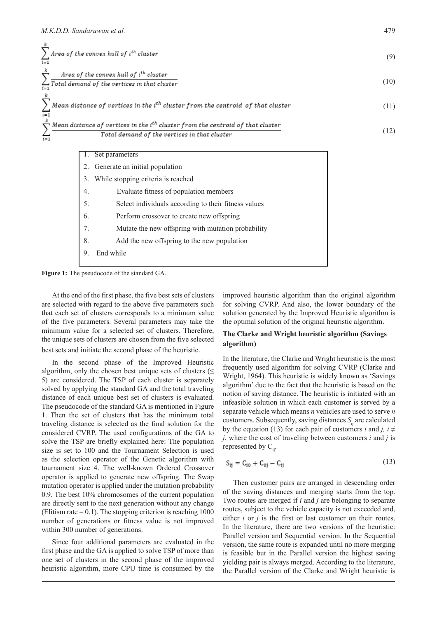| $\sum$ Area of the convex hull of i <sup>th</sup> cluster<br>$i = 1$                                                                                                 | (9)  |
|----------------------------------------------------------------------------------------------------------------------------------------------------------------------|------|
| Area of the convex hull of i <sup>th</sup> cluster<br>$\frac{1}{i}$ Total demand of the vertices in that cluster                                                     | (10) |
| Mean distance of vertices in the i <sup>th</sup> cluster from the centroid of that cluster<br>$i = 1$                                                                | (11) |
| $\hat{\nabla}$ Mean distance of vertices in the i <sup>th</sup> cluster from the centroid of that cluster<br>Total demand of the vertices in that cluster<br>$i = 1$ | (12) |
| Set parameters<br>Generate an initial population                                                                                                                     |      |

|    | 3. While stopping criteria is reached                |  |  |  |  |  |  |  |  |  |
|----|------------------------------------------------------|--|--|--|--|--|--|--|--|--|
| 4. | Evaluate fitness of population members               |  |  |  |  |  |  |  |  |  |
| 5. | Select individuals according to their fitness values |  |  |  |  |  |  |  |  |  |
| 6. | Perform crossover to create new offspring            |  |  |  |  |  |  |  |  |  |
| 7. | Mutate the new offspring with mutation probability   |  |  |  |  |  |  |  |  |  |
| 8. | Add the new offspring to the new population          |  |  |  |  |  |  |  |  |  |
|    | End while                                            |  |  |  |  |  |  |  |  |  |

**Figure 1:** The pseudocode of the standard GA.

At the end of the first phase, the five best sets of clusters are selected with regard to the above five parameters such that each set of clusters corresponds to a minimum value of the five parameters. Several parameters may take the minimum value for a selected set of clusters. Therefore, the unique sets of clusters are chosen from the five selected best sets and initiate the second phase of the heuristic.

In the second phase of the Improved Heuristic algorithm, only the chosen best unique sets of clusters ( $\leq$ 5) are considered. The TSP of each cluster is separately solved by applying the standard GA and the total traveling distance of each unique best set of clusters is evaluated. The pseudocode of the standard GA is mentioned in Figure 1. Then the set of clusters that has the minimum total traveling distance is selected as the final solution for the considered CVRP. The used configurations of the GA to solve the TSP are briefly explained here: The population size is set to 100 and the Tournament Selection is used as the selection operator of the Genetic algorithm with tournament size 4. The well-known Ordered Crossover operator is applied to generate new offspring. The Swap mutation operator is applied under the mutation probability 0.9. The best 10% chromosomes of the current population are directly sent to the next generation without any change (Elitism rate  $= 0.1$ ). The stopping criterion is reaching 1000 number of generations or fitness value is not improved within 300 number of generations.

Since four additional parameters are evaluated in the first phase and the GA is applied to solve TSP of more than one set of clusters in the second phase of the improved heuristic algorithm, more CPU time is consumed by the improved heuristic algorithm than the original algorithm for solving CVRP. And also, the lower boundary of the solution generated by the Improved Heuristic algorithm is the optimal solution of the original heuristic algorithm.

## **The Clarke and Wright heuristic algorithm (Savings algorithm)**

In the literature, the Clarke and Wright heuristic is the most frequently used algorithm for solving CVRP (Clarke and Wright, 1964). This heuristic is widely known as 'Savings algorithm' due to the fact that the heuristic is based on the notion of saving distance. The heuristic is initiated with an infeasible solution in which each customer is served by a separate vehicle which means *n* vehicles are used to serve *n* customers. Subsequently, saving distances  $S<sub>ii</sub>$  are calculated by the equation (13) for each pair of customers *i* and *j*,  $i \neq$ *j*, where the cost of traveling between customers *i* and *j* is represented by  $C_{ii}$ .

$$
S_{ij} = C_{i0} + C_{0j} - C_{ij}
$$
 (13)

Then customer pairs are arranged in descending order of the saving distances and merging starts from the top. Two routes are merged if *i* and *j* are belonging to separate routes, subject to the vehicle capacity is not exceeded and, either *i* or *j* is the first or last customer on their routes. In the literature, there are two versions of the heuristic: Parallel version and Sequential version. In the Sequential version, the same route is expanded until no more merging is feasible but in the Parallel version the highest saving yielding pair is always merged. According to the literature, the Parallel version of the Clarke and Wright heuristic is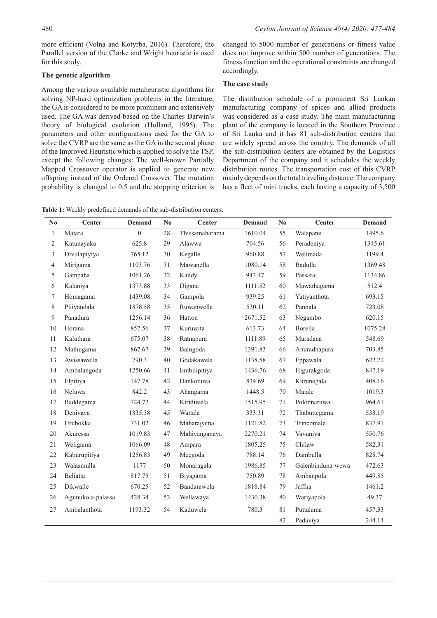more efficient (Volna and Kotyrba, 2016). Therefore, the Parallel version of the Clarke and Wright heuristic is used for this study.

## **The genetic algorithm**

Among the various available metaheuristic algorithms for solving NP-hard optimization problems in the literature, the GA is considered to be more prominent and extensively used. The GA was derived based on the Charles Darwin's theory of biological evolution (Holland, 1995). The parameters and other configurations used for the GA to solve the CVRP are the same as the GA in the second phase of the Improved Heuristic which is applied to solve the TSP, except the following changes: The well-known Partially Mapped Crossover operator is applied to generate new offspring instead of the Ordered Crossover. The mutation probability is changed to 0.5 and the stopping criterion is

changed to 5000 number of generations or fitness value does not improve within 500 number of generations. The fitness function and the operational constraints are changed accordingly.

## **The case study**

The distribution schedule of a prominent Sri Lankan manufacturing company of spices and allied products was considered as a case study. The main manufacturing plant of the company is located in the Southern Province of Sri Lanka and it has 81 sub-distribution centers that are widely spread across the country. The demands of all the sub-distribution centers are obtained by the Logistics Department of the company and it schedules the weekly distribution routes. The transportation cost of this CVRP mainly depends on the total traveling distance. The company has a fleet of mini trucks, each having a capacity of 3,500

**Table 1:** Weekly predefined demands of the sub-distribution centers.

| $\mathbf{N}\mathbf{0}$ | Center            | <b>Demand</b> | $\mathbf{N}\mathbf{0}$ | Center         | <b>Demand</b> | N <sub>0</sub> | Center            | <b>Demand</b> |
|------------------------|-------------------|---------------|------------------------|----------------|---------------|----------------|-------------------|---------------|
| 1                      | Matara            | $\theta$      | 28                     | Thissamaharama | 1610.04       | 55             | Walapane          | 1495.6        |
| 2                      | Katunayaka        | 625.8         | 29                     | Alawwa         | 704.56        | 56             | Peradeniya        | 1345.61       |
| 3                      | Divulapiyiya      | 765.12        | 30                     | Kegalle        | 960.88        | 57             | Welimada          | 1199.4        |
| $\overline{4}$         | Mirigama          | 1103.76       | 31                     | Mawanella      | 1080.14       | 58             | Badulla           | 1369.48       |
| 5                      | Gampaha           | 1061.26       | 32                     | Kandy          | 943.47        | 59             | Passara           | 1134.86       |
| 6                      | Kalaniya          | 1373.88       | 33                     | Digana         | 1111.52       | 60             | Mawathagama       | 512.4         |
| 7                      | Homagama          | 1439.08       | 34                     | Gampola        | 939.25        | 61             | Yatiyanthota      | 693.15        |
| 8                      | Piliyandala       | 1878.58       | 35                     | Ruwanwella     | 530.11        | 62             | Pannala           | 723.08        |
| 9                      | Panadura          | 1256.14       | 36                     | Hatton         | 2671.52       | 63             | Negambo           | 620.15        |
| 10                     | Horana            | 857.56        | 37                     | Kuruwita       | 613.73        | 64             | Borella           | 1075.28       |
| 11                     | Kaluthara         | 675.07        | 38                     | Ratnapura      | 1111.89       | 65             | Maradana          | 548.69        |
| 12                     | Mathugama         | 867.67        | 39                     | Balngoda       | 1391.83       | 66             | Anuradhapura      | 703.85        |
| 13                     | Awissawella       | 790.3         | 40                     | Godakawela     | 1138.58       | 67             | Eppawala          | 622.72        |
| 14                     | Ambalangoda       | 1250.66       | 41                     | Embilipitiya   | 1436.76       | 68             | Higurakgoda       | 847.19        |
| 15                     | Elpitiya          | 147.78        | 42                     | Dankotuwa      | 834.69        | 69             | Kurunegala        | 408.16        |
| 16                     | Neluwa            | 842.2         | 43                     | Ahangama       | 1448.5        | 70             | Matale            | 1019.3        |
| 17                     | Baddegama         | 724.72        | 44                     | Kiridiwela     | 1515.95       | 71             | Polonnaruwa       | 964.61        |
| 18                     | Deniyaya          | 1335.38       | 45                     | Wattala        | 333.31        | 72             | Thabuttegama      | 533.19        |
| 19                     | Urubokka          | 731.02        | 46                     | Maharagama     | 1121.82       | 73             | Trincomale        | 837.91        |
| 20                     | Akuressa          | 1019.83       | 47                     | Mahiyanganaya  | 2270.21       | 74             | Vavuniya          | 550.76        |
| 21                     | Weligama          | 1066.09       | 48                     | Ampara         | 1805.25       | 75             | Chilaw            | 582.31        |
| 22                     | Kaburupitiya      | 1256.83       | 49                     | Meegoda        | 788.14        | 76             | Dambulla          | 828.74        |
| 23                     | Walasmulla        | 1177          | 50                     | Monaragala     | 1986.85       | 77             | Galenbinduna-wewa | 472.63        |
| 24                     | <b>Beliatta</b>   | 817.75        | 51                     | Biyagama       | 750.89        | 78             | Ambanpola         | 449.85        |
| 25                     | Dikwalle          | 670.25        | 52                     | Bandarawela    | 1818.84       | 79             | Jaffna            | 1461.2        |
| 26                     | Agunukola-palassa | 428.34        | 53                     | Wellawaya      | 1430.38       | 80             | Wariyapola        | 49.37         |
| 27                     | Ambalanthota      | 1193.32       | 54                     | Kaduwela       | 780.3         | 81             | Puttalama         | 457.33        |
|                        |                   |               |                        |                |               | 82             | Padaviya          | 244.14        |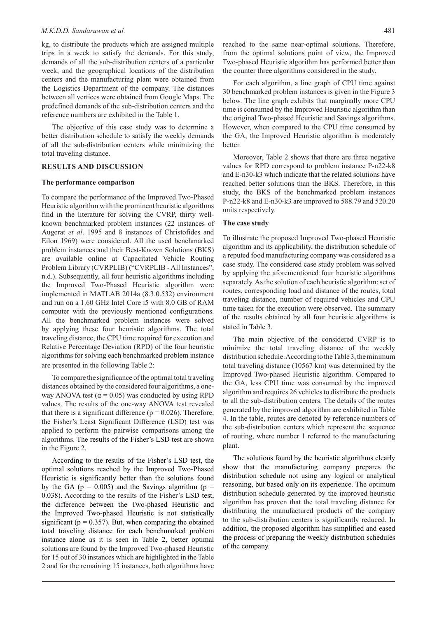#### *M.K.D.D. Sandaruwan et al.* 481

kg, to distribute the products which are assigned multiple trips in a week to satisfy the demands. For this study, demands of all the sub-distribution centers of a particular week, and the geographical locations of the distribution centers and the manufacturing plant were obtained from the Logistics Department of the company. The distances between all vertices were obtained from Google Maps. The predefined demands of the sub-distribution centers and the reference numbers are exhibited in the Table 1.

The objective of this case study was to determine a better distribution schedule to satisfy the weekly demands of all the sub-distribution centers while minimizing the total traveling distance.

### **RESULTS AND DISCUSSION**

#### **The performance comparison**

To compare the performance of the Improved Two-Phased Heuristic algorithm with the prominent heuristic algorithms find in the literature for solving the CVRP, thirty wellknown benchmarked problem instances (22 instances of Augerat *et al*. 1995 and 8 instances of Christofides and Eilon 1969) were considered. All the used benchmarked problem instances and their Best-Known Solutions (BKS) are available online at Capacitated Vehicle Routing Problem Library (CVRPLIB) ("CVRPLIB - All Instances", n.d.). Subsequently, all four heuristic algorithms including the Improved Two-Phased Heuristic algorithm were implemented in MATLAB 2014a (8.3.0.532) environment and run on a 1.60 GHz Intel Core i5 with 8.0 GB of RAM computer with the previously mentioned configurations. All the benchmarked problem instances were solved by applying these four heuristic algorithms. The total traveling distance, the CPU time required for execution and Relative Percentage Deviation (RPD) of the four heuristic algorithms for solving each benchmarked problem instance are presented in the following Table 2:

To compare the significance of the optimal total traveling distances obtained by the considered four algorithms, a oneway ANOVA test ( $\alpha$  = 0.05) was conducted by using RPD values. The results of the one-way ANOVA test revealed that there is a significant difference ( $p = 0.026$ ). Therefore, the Fisher's Least Significant Difference (LSD) test was applied to perform the pairwise comparisons among the algorithms. The results of the Fisher's LSD test are shown in the Figure 2.

According to the results of the Fisher's LSD test, the optimal solutions reached by the Improved Two-Phased Heuristic is significantly better than the solutions found by the GA ( $p = 0.005$ ) and the Savings algorithm ( $p =$ 0.038). According to the results of the Fisher's LSD test, the difference between the Two-phased Heuristic and the Improved Two-phased Heuristic is not statistically significant ( $p = 0.357$ ). But, when comparing the obtained total traveling distance for each benchmarked problem instance alone as it is seen in Table 2, better optimal solutions are found by the Improved Two-phased Heuristic for 15 out of 30 instances which are highlighted in the Table 2 and for the remaining 15 instances, both algorithms have

reached to the same near-optimal solutions. Therefore, from the optimal solutions point of view, the Improved Two-phased Heuristic algorithm has performed better than the counter three algorithms considered in the study.

For each algorithm, a line graph of CPU time against 30 benchmarked problem instances is given in the Figure 3 below. The line graph exhibits that marginally more CPU time is consumed by the Improved Heuristic algorithm than the original Two-phased Heuristic and Savings algorithms. However, when compared to the CPU time consumed by the GA, the Improved Heuristic algorithm is moderately better.

Moreover, Table 2 shows that there are three negative values for RPD correspond to problem instance P-n22-k8 and E-n30-k3 which indicate that the related solutions have reached better solutions than the BKS. Therefore, in this study, the BKS of the benchmarked problem instances P-n22-k8 and E-n30-k3 are improved to 588.79 and 520.20 units respectively.

#### **The case study**

To illustrate the proposed Improved Two-phased Heuristic algorithm and its applicability, the distribution schedule of a reputed food manufacturing company was considered as a case study. The considered case study problem was solved by applying the aforementioned four heuristic algorithms separately. As the solution of each heuristic algorithm: set of routes, corresponding load and distance of the routes, total traveling distance, number of required vehicles and CPU time taken for the execution were observed. The summary of the results obtained by all four heuristic algorithms is stated in Table 3.

The main objective of the considered CVRP is to minimize the total traveling distance of the weekly distribution schedule. According to the Table 3, the minimum total traveling distance (10567 km) was determined by the Improved Two-phased Heuristic algorithm. Compared to the GA, less CPU time was consumed by the improved algorithm and requires 26 vehicles to distribute the products to all the sub-distribution centers. The details of the routes generated by the improved algorithm are exhibited in Table 4. In the table, routes are denoted by reference numbers of the sub-distribution centers which represent the sequence of routing, where number 1 referred to the manufacturing plant.

The solutions found by the heuristic algorithms clearly show that the manufacturing company prepares the distribution schedule not using any logical or analytical reasoning, but based only on its experience. The optimum distribution schedule generated by the improved heuristic algorithm has proven that the total traveling distance for distributing the manufactured products of the company to the sub-distribution centers is significantly reduced. In addition, the proposed algorithm has simplified and eased the process of preparing the weekly distribution schedules of the company.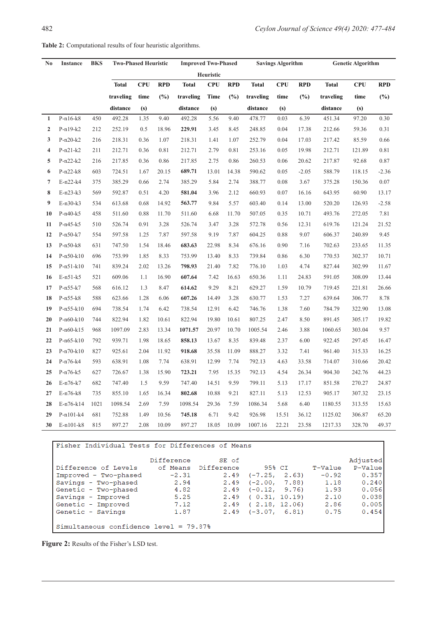| Heuristic<br><b>CPU</b><br><b>RPD</b><br><b>Total</b><br><b>CPU</b><br><b>RPD</b><br><b>CPU</b><br><b>RPD</b><br><b>Total</b><br><b>Total</b><br><b>Total</b><br><b>CPU</b><br>traveling<br>(%)<br>(%)<br>(%)<br>time<br>traveling<br>Time<br>traveling<br>time<br>traveling<br>$(\%)$<br>time<br>distance<br>distance<br>distance<br>(s)<br>(s)<br>(s)<br>distance<br>(s)<br>$P-n16-k8$<br>492.28<br>1.35<br>492.28<br>5.56<br>478.77<br>6.39<br>97.20<br>0.30<br>450<br>9.40<br>9.40<br>0.03<br>451.34<br>$\mathbf{1}$<br>$\overline{2}$<br>$P-n19-k2$<br>212<br>252.19<br>0.5<br>18.96<br>229.91<br>3.45<br>248.85<br>0.04<br>17.38<br>212.66<br>59.36<br>0.31<br>8.45<br>3<br>$P-n20-k2$<br>216<br>218.31<br>0.36<br>1.07<br>218.31<br>1.41<br>1.07<br>252.79<br>0.04<br>17.03<br>217.42<br>85.59<br>0.66<br>2.79<br>0.81<br>19.98<br>0.81<br>$\overline{\mathbf{4}}$<br>$P-n21-k2$<br>211<br>212.71<br>0.36<br>0.81<br>212.71<br>253.16<br>0.05<br>212.71<br>121.89<br>0.87<br>5<br>$P-n22-k2$<br>216<br>217.85<br>0.36<br>0.86<br>217.85<br>2.75<br>0.86<br>260.53<br>0.06<br>20.62<br>217.87<br>92.68<br>6<br>$P-n22-k8$<br>603<br>724.51<br>1.67<br>20.15<br>689.71<br>13.01<br>14.38<br>590.62<br>0.05<br>$-2.05$<br>588.79<br>118.15<br>$-2.36$<br>$\overline{7}$<br>E-n22-k4<br>385.29<br>5.84<br>2.74<br>3.67<br>0.07<br>375<br>0.66<br>2.74<br>385.29<br>388.77<br>0.08<br>375.28<br>150.36<br>8<br>$E-n23-k3$<br>569<br>592.87<br>0.51<br>4.20<br>581.04<br>3.96<br>2.12<br>660.93<br>0.07<br>16.16<br>643.95<br>60.90<br>9<br>$E-n30-k3$<br>534<br>613.68<br>0.68<br>14.92<br>563.77<br>9.84<br>5.57<br>603.40<br>0.14<br>13.00<br>520.20<br>126.93<br>$-2.58$<br>10<br>$P-n40-k5$<br>458<br>511.60<br>0.88<br>11.70<br>511.60<br>11.70<br>507.05<br>10.71<br>493.76<br>272.05<br>7.81<br>6.68<br>0.35<br>11<br>$P-n45-k5$<br>510<br>526.74<br>0.91<br>3.28<br>526.74<br>3.47<br>3.28<br>572.78<br>0.56<br>12.31<br>619.76<br>121.24<br>21.52<br>9.19<br>7.87<br>9.07<br>240.89<br>9.45<br>12<br>$P-n50-k7$<br>554<br>597.58<br>1.25<br>7.87<br>597.58<br>604.25<br>0.88<br>606.37<br>22.98<br>676.16<br>13<br>$P-n50-k8$<br>631<br>747.50<br>1.54<br>18.46<br>683.63<br>8.34<br>0.90<br>7.16<br>702.63<br>233.65<br>11.35<br>6.30<br>10.71<br>14<br>$P-n50-k10$<br>696<br>753.99<br>1.85<br>8.33<br>753.99<br>13.40<br>8.33<br>739.84<br>0.86<br>770.53<br>302.37<br>15<br>$P-n51-k10$<br>741<br>839.24<br>2.02<br>798.93<br>7.82<br>776.10<br>4.74<br>827.44<br>302.99<br>11.67<br>13.26<br>21.40<br>1.03<br>607.64<br>16<br>$E-n51-k5$<br>521<br>609.06<br>1.1<br>16.90<br>7.42<br>650.36<br>24.83<br>591.05<br>308.09<br>13.44<br>16.63<br>1.11<br>17<br>$P-n55-k7$<br>616.12<br>1.3<br>9.29<br>8.21<br>629.27<br>1.59<br>10.79<br>719.45<br>26.66<br>568<br>8.47<br>614.62<br>221.81<br>18<br>$P-n55-k8$<br>588<br>623.66<br>1.28<br>6.06<br>607.26<br>14.49<br>3.28<br>630.77<br>1.53<br>7.27<br>639.64<br>306.77<br>8.78<br>19<br>694<br>$P - n55 - k10$<br>738.54<br>1.74<br>6.42<br>738.54<br>12.91<br>6.42<br>746.76<br>1.38<br>7.60<br>784.79<br>322.90<br>13.08<br>8.50<br>20<br>$P-n60-k10$<br>744<br>822.94<br>1.82<br>10.61<br>822.94<br>19.80<br>10.61<br>807.25<br>2.47<br>891.45<br>305.17<br>19.82<br>$P-n60-k15$<br>1097.09<br>2.83<br>20.97<br>10.70<br>1005.54<br>3.88<br>9.57<br>21<br>968<br>13.34<br>1071.57<br>2.46<br>1060.65<br>303.04<br>22<br>$P-n65-k10$<br>792<br>939.71<br>1.98<br>18.65<br>858.13<br>13.67<br>8.35<br>839.48<br>2.37<br>6.00<br>922.45<br>297.45<br>23<br>918.68<br>$P-n70-k10$<br>827<br>925.61<br>2.04<br>11.92<br>35.58<br>11.09<br>888.27<br>3.32<br>7.41<br>961.40<br>315.33<br>16.25<br>24<br>P-n76-k4<br>593<br>638.91<br>1.08<br>7.74<br>638.91<br>12.99<br>7.74<br>792.13<br>4.63<br>33.58<br>714.07<br>310.66<br>20.42<br>26.34<br>44.23<br>25<br>$P-n76-k5$<br>627<br>726.67<br>1.38<br>15.90<br>723.21<br>7.95<br>15.35<br>792.13<br>4.54<br>904.30<br>242.76<br>682<br>747.40<br>1.5<br>747.40<br>14.51<br>9.59<br>799.11<br>270.27<br>24.87<br>26<br>$E-n76-k7$<br>9.59<br>5.13<br>17.17<br>851.58<br>9.21<br>827.11<br>905.17<br>27<br>$E-n76-k8$<br>735<br>855.10<br>1.65<br>16.34<br>802.68<br>10.88<br>5.13<br>12.53<br>307.32<br>23.15<br>28<br>$E-n76-k14$<br>1021<br>1098.54<br>2.69<br>7.59<br>1098.54<br>29.36<br>7.59<br>1086.34<br>5.68<br>6.40<br>1180.55<br>313.55<br>15.63<br>29<br>P-n101-k4<br>681<br>752.88<br>1.49<br>10.56<br>745.18<br>6.71<br>9.42<br>926.98<br>36.12<br>1125.02<br>306.87<br>65.20<br>15.51 | N <sub>0</sub> | <b>Instance</b> | <b>BKS</b> | <b>Two-Phased Heuristic</b> |      |       | <b>Improved Two-Phased</b> |       | <b>Savings Algorithm</b> |         |       | <b>Genetic Algorithm</b> |         |        |            |
|------------------------------------------------------------------------------------------------------------------------------------------------------------------------------------------------------------------------------------------------------------------------------------------------------------------------------------------------------------------------------------------------------------------------------------------------------------------------------------------------------------------------------------------------------------------------------------------------------------------------------------------------------------------------------------------------------------------------------------------------------------------------------------------------------------------------------------------------------------------------------------------------------------------------------------------------------------------------------------------------------------------------------------------------------------------------------------------------------------------------------------------------------------------------------------------------------------------------------------------------------------------------------------------------------------------------------------------------------------------------------------------------------------------------------------------------------------------------------------------------------------------------------------------------------------------------------------------------------------------------------------------------------------------------------------------------------------------------------------------------------------------------------------------------------------------------------------------------------------------------------------------------------------------------------------------------------------------------------------------------------------------------------------------------------------------------------------------------------------------------------------------------------------------------------------------------------------------------------------------------------------------------------------------------------------------------------------------------------------------------------------------------------------------------------------------------------------------------------------------------------------------------------------------------------------------------------------------------------------------------------------------------------------------------------------------------------------------------------------------------------------------------------------------------------------------------------------------------------------------------------------------------------------------------------------------------------------------------------------------------------------------------------------------------------------------------------------------------------------------------------------------------------------------------------------------------------------------------------------------------------------------------------------------------------------------------------------------------------------------------------------------------------------------------------------------------------------------------------------------------------------------------------------------------------------------------------------------------------------------------------------------------------------------------------------------------------------------------------------------------------------------------------------------------------------------------------------------------------------------------------------------------------------------------------------------------------------------------------------------------------------------------------------------------------------------------------------------------------------------------------------------------------------------------------------------------------------------------------------------------------------------------------------------------------------------------------------------------------------------------------------------------------------------------------------------------------------------------------------------------------------------|----------------|-----------------|------------|-----------------------------|------|-------|----------------------------|-------|--------------------------|---------|-------|--------------------------|---------|--------|------------|
|                                                                                                                                                                                                                                                                                                                                                                                                                                                                                                                                                                                                                                                                                                                                                                                                                                                                                                                                                                                                                                                                                                                                                                                                                                                                                                                                                                                                                                                                                                                                                                                                                                                                                                                                                                                                                                                                                                                                                                                                                                                                                                                                                                                                                                                                                                                                                                                                                                                                                                                                                                                                                                                                                                                                                                                                                                                                                                                                                                                                                                                                                                                                                                                                                                                                                                                                                                                                                                                                                                                                                                                                                                                                                                                                                                                                                                                                                                                                                                                                                                                                                                                                                                                                                                                                                                                                                                                                                                                                                                                  |                |                 |            |                             |      |       |                            |       |                          |         |       |                          |         |        |            |
|                                                                                                                                                                                                                                                                                                                                                                                                                                                                                                                                                                                                                                                                                                                                                                                                                                                                                                                                                                                                                                                                                                                                                                                                                                                                                                                                                                                                                                                                                                                                                                                                                                                                                                                                                                                                                                                                                                                                                                                                                                                                                                                                                                                                                                                                                                                                                                                                                                                                                                                                                                                                                                                                                                                                                                                                                                                                                                                                                                                                                                                                                                                                                                                                                                                                                                                                                                                                                                                                                                                                                                                                                                                                                                                                                                                                                                                                                                                                                                                                                                                                                                                                                                                                                                                                                                                                                                                                                                                                                                                  |                |                 |            |                             |      |       |                            |       |                          |         |       |                          |         |        | <b>RPD</b> |
|                                                                                                                                                                                                                                                                                                                                                                                                                                                                                                                                                                                                                                                                                                                                                                                                                                                                                                                                                                                                                                                                                                                                                                                                                                                                                                                                                                                                                                                                                                                                                                                                                                                                                                                                                                                                                                                                                                                                                                                                                                                                                                                                                                                                                                                                                                                                                                                                                                                                                                                                                                                                                                                                                                                                                                                                                                                                                                                                                                                                                                                                                                                                                                                                                                                                                                                                                                                                                                                                                                                                                                                                                                                                                                                                                                                                                                                                                                                                                                                                                                                                                                                                                                                                                                                                                                                                                                                                                                                                                                                  |                |                 |            |                             |      |       |                            |       |                          |         |       |                          |         |        |            |
|                                                                                                                                                                                                                                                                                                                                                                                                                                                                                                                                                                                                                                                                                                                                                                                                                                                                                                                                                                                                                                                                                                                                                                                                                                                                                                                                                                                                                                                                                                                                                                                                                                                                                                                                                                                                                                                                                                                                                                                                                                                                                                                                                                                                                                                                                                                                                                                                                                                                                                                                                                                                                                                                                                                                                                                                                                                                                                                                                                                                                                                                                                                                                                                                                                                                                                                                                                                                                                                                                                                                                                                                                                                                                                                                                                                                                                                                                                                                                                                                                                                                                                                                                                                                                                                                                                                                                                                                                                                                                                                  |                |                 |            |                             |      |       |                            |       |                          |         |       |                          |         |        |            |
|                                                                                                                                                                                                                                                                                                                                                                                                                                                                                                                                                                                                                                                                                                                                                                                                                                                                                                                                                                                                                                                                                                                                                                                                                                                                                                                                                                                                                                                                                                                                                                                                                                                                                                                                                                                                                                                                                                                                                                                                                                                                                                                                                                                                                                                                                                                                                                                                                                                                                                                                                                                                                                                                                                                                                                                                                                                                                                                                                                                                                                                                                                                                                                                                                                                                                                                                                                                                                                                                                                                                                                                                                                                                                                                                                                                                                                                                                                                                                                                                                                                                                                                                                                                                                                                                                                                                                                                                                                                                                                                  |                |                 |            |                             |      |       |                            |       |                          |         |       |                          |         |        |            |
|                                                                                                                                                                                                                                                                                                                                                                                                                                                                                                                                                                                                                                                                                                                                                                                                                                                                                                                                                                                                                                                                                                                                                                                                                                                                                                                                                                                                                                                                                                                                                                                                                                                                                                                                                                                                                                                                                                                                                                                                                                                                                                                                                                                                                                                                                                                                                                                                                                                                                                                                                                                                                                                                                                                                                                                                                                                                                                                                                                                                                                                                                                                                                                                                                                                                                                                                                                                                                                                                                                                                                                                                                                                                                                                                                                                                                                                                                                                                                                                                                                                                                                                                                                                                                                                                                                                                                                                                                                                                                                                  |                |                 |            |                             |      |       |                            |       |                          |         |       |                          |         |        |            |
|                                                                                                                                                                                                                                                                                                                                                                                                                                                                                                                                                                                                                                                                                                                                                                                                                                                                                                                                                                                                                                                                                                                                                                                                                                                                                                                                                                                                                                                                                                                                                                                                                                                                                                                                                                                                                                                                                                                                                                                                                                                                                                                                                                                                                                                                                                                                                                                                                                                                                                                                                                                                                                                                                                                                                                                                                                                                                                                                                                                                                                                                                                                                                                                                                                                                                                                                                                                                                                                                                                                                                                                                                                                                                                                                                                                                                                                                                                                                                                                                                                                                                                                                                                                                                                                                                                                                                                                                                                                                                                                  |                |                 |            |                             |      |       |                            |       |                          |         |       |                          |         |        |            |
|                                                                                                                                                                                                                                                                                                                                                                                                                                                                                                                                                                                                                                                                                                                                                                                                                                                                                                                                                                                                                                                                                                                                                                                                                                                                                                                                                                                                                                                                                                                                                                                                                                                                                                                                                                                                                                                                                                                                                                                                                                                                                                                                                                                                                                                                                                                                                                                                                                                                                                                                                                                                                                                                                                                                                                                                                                                                                                                                                                                                                                                                                                                                                                                                                                                                                                                                                                                                                                                                                                                                                                                                                                                                                                                                                                                                                                                                                                                                                                                                                                                                                                                                                                                                                                                                                                                                                                                                                                                                                                                  |                |                 |            |                             |      |       |                            |       |                          |         |       |                          |         |        |            |
|                                                                                                                                                                                                                                                                                                                                                                                                                                                                                                                                                                                                                                                                                                                                                                                                                                                                                                                                                                                                                                                                                                                                                                                                                                                                                                                                                                                                                                                                                                                                                                                                                                                                                                                                                                                                                                                                                                                                                                                                                                                                                                                                                                                                                                                                                                                                                                                                                                                                                                                                                                                                                                                                                                                                                                                                                                                                                                                                                                                                                                                                                                                                                                                                                                                                                                                                                                                                                                                                                                                                                                                                                                                                                                                                                                                                                                                                                                                                                                                                                                                                                                                                                                                                                                                                                                                                                                                                                                                                                                                  |                |                 |            |                             |      |       |                            |       |                          |         |       |                          |         |        |            |
|                                                                                                                                                                                                                                                                                                                                                                                                                                                                                                                                                                                                                                                                                                                                                                                                                                                                                                                                                                                                                                                                                                                                                                                                                                                                                                                                                                                                                                                                                                                                                                                                                                                                                                                                                                                                                                                                                                                                                                                                                                                                                                                                                                                                                                                                                                                                                                                                                                                                                                                                                                                                                                                                                                                                                                                                                                                                                                                                                                                                                                                                                                                                                                                                                                                                                                                                                                                                                                                                                                                                                                                                                                                                                                                                                                                                                                                                                                                                                                                                                                                                                                                                                                                                                                                                                                                                                                                                                                                                                                                  |                |                 |            |                             |      |       |                            |       |                          |         |       |                          |         |        |            |
|                                                                                                                                                                                                                                                                                                                                                                                                                                                                                                                                                                                                                                                                                                                                                                                                                                                                                                                                                                                                                                                                                                                                                                                                                                                                                                                                                                                                                                                                                                                                                                                                                                                                                                                                                                                                                                                                                                                                                                                                                                                                                                                                                                                                                                                                                                                                                                                                                                                                                                                                                                                                                                                                                                                                                                                                                                                                                                                                                                                                                                                                                                                                                                                                                                                                                                                                                                                                                                                                                                                                                                                                                                                                                                                                                                                                                                                                                                                                                                                                                                                                                                                                                                                                                                                                                                                                                                                                                                                                                                                  |                |                 |            |                             |      |       |                            |       |                          |         |       |                          |         |        |            |
|                                                                                                                                                                                                                                                                                                                                                                                                                                                                                                                                                                                                                                                                                                                                                                                                                                                                                                                                                                                                                                                                                                                                                                                                                                                                                                                                                                                                                                                                                                                                                                                                                                                                                                                                                                                                                                                                                                                                                                                                                                                                                                                                                                                                                                                                                                                                                                                                                                                                                                                                                                                                                                                                                                                                                                                                                                                                                                                                                                                                                                                                                                                                                                                                                                                                                                                                                                                                                                                                                                                                                                                                                                                                                                                                                                                                                                                                                                                                                                                                                                                                                                                                                                                                                                                                                                                                                                                                                                                                                                                  |                |                 |            |                             |      |       |                            |       |                          |         |       |                          |         |        | 13.17      |
|                                                                                                                                                                                                                                                                                                                                                                                                                                                                                                                                                                                                                                                                                                                                                                                                                                                                                                                                                                                                                                                                                                                                                                                                                                                                                                                                                                                                                                                                                                                                                                                                                                                                                                                                                                                                                                                                                                                                                                                                                                                                                                                                                                                                                                                                                                                                                                                                                                                                                                                                                                                                                                                                                                                                                                                                                                                                                                                                                                                                                                                                                                                                                                                                                                                                                                                                                                                                                                                                                                                                                                                                                                                                                                                                                                                                                                                                                                                                                                                                                                                                                                                                                                                                                                                                                                                                                                                                                                                                                                                  |                |                 |            |                             |      |       |                            |       |                          |         |       |                          |         |        |            |
|                                                                                                                                                                                                                                                                                                                                                                                                                                                                                                                                                                                                                                                                                                                                                                                                                                                                                                                                                                                                                                                                                                                                                                                                                                                                                                                                                                                                                                                                                                                                                                                                                                                                                                                                                                                                                                                                                                                                                                                                                                                                                                                                                                                                                                                                                                                                                                                                                                                                                                                                                                                                                                                                                                                                                                                                                                                                                                                                                                                                                                                                                                                                                                                                                                                                                                                                                                                                                                                                                                                                                                                                                                                                                                                                                                                                                                                                                                                                                                                                                                                                                                                                                                                                                                                                                                                                                                                                                                                                                                                  |                |                 |            |                             |      |       |                            |       |                          |         |       |                          |         |        |            |
|                                                                                                                                                                                                                                                                                                                                                                                                                                                                                                                                                                                                                                                                                                                                                                                                                                                                                                                                                                                                                                                                                                                                                                                                                                                                                                                                                                                                                                                                                                                                                                                                                                                                                                                                                                                                                                                                                                                                                                                                                                                                                                                                                                                                                                                                                                                                                                                                                                                                                                                                                                                                                                                                                                                                                                                                                                                                                                                                                                                                                                                                                                                                                                                                                                                                                                                                                                                                                                                                                                                                                                                                                                                                                                                                                                                                                                                                                                                                                                                                                                                                                                                                                                                                                                                                                                                                                                                                                                                                                                                  |                |                 |            |                             |      |       |                            |       |                          |         |       |                          |         |        |            |
|                                                                                                                                                                                                                                                                                                                                                                                                                                                                                                                                                                                                                                                                                                                                                                                                                                                                                                                                                                                                                                                                                                                                                                                                                                                                                                                                                                                                                                                                                                                                                                                                                                                                                                                                                                                                                                                                                                                                                                                                                                                                                                                                                                                                                                                                                                                                                                                                                                                                                                                                                                                                                                                                                                                                                                                                                                                                                                                                                                                                                                                                                                                                                                                                                                                                                                                                                                                                                                                                                                                                                                                                                                                                                                                                                                                                                                                                                                                                                                                                                                                                                                                                                                                                                                                                                                                                                                                                                                                                                                                  |                |                 |            |                             |      |       |                            |       |                          |         |       |                          |         |        |            |
|                                                                                                                                                                                                                                                                                                                                                                                                                                                                                                                                                                                                                                                                                                                                                                                                                                                                                                                                                                                                                                                                                                                                                                                                                                                                                                                                                                                                                                                                                                                                                                                                                                                                                                                                                                                                                                                                                                                                                                                                                                                                                                                                                                                                                                                                                                                                                                                                                                                                                                                                                                                                                                                                                                                                                                                                                                                                                                                                                                                                                                                                                                                                                                                                                                                                                                                                                                                                                                                                                                                                                                                                                                                                                                                                                                                                                                                                                                                                                                                                                                                                                                                                                                                                                                                                                                                                                                                                                                                                                                                  |                |                 |            |                             |      |       |                            |       |                          |         |       |                          |         |        |            |
|                                                                                                                                                                                                                                                                                                                                                                                                                                                                                                                                                                                                                                                                                                                                                                                                                                                                                                                                                                                                                                                                                                                                                                                                                                                                                                                                                                                                                                                                                                                                                                                                                                                                                                                                                                                                                                                                                                                                                                                                                                                                                                                                                                                                                                                                                                                                                                                                                                                                                                                                                                                                                                                                                                                                                                                                                                                                                                                                                                                                                                                                                                                                                                                                                                                                                                                                                                                                                                                                                                                                                                                                                                                                                                                                                                                                                                                                                                                                                                                                                                                                                                                                                                                                                                                                                                                                                                                                                                                                                                                  |                |                 |            |                             |      |       |                            |       |                          |         |       |                          |         |        |            |
|                                                                                                                                                                                                                                                                                                                                                                                                                                                                                                                                                                                                                                                                                                                                                                                                                                                                                                                                                                                                                                                                                                                                                                                                                                                                                                                                                                                                                                                                                                                                                                                                                                                                                                                                                                                                                                                                                                                                                                                                                                                                                                                                                                                                                                                                                                                                                                                                                                                                                                                                                                                                                                                                                                                                                                                                                                                                                                                                                                                                                                                                                                                                                                                                                                                                                                                                                                                                                                                                                                                                                                                                                                                                                                                                                                                                                                                                                                                                                                                                                                                                                                                                                                                                                                                                                                                                                                                                                                                                                                                  |                |                 |            |                             |      |       |                            |       |                          |         |       |                          |         |        |            |
|                                                                                                                                                                                                                                                                                                                                                                                                                                                                                                                                                                                                                                                                                                                                                                                                                                                                                                                                                                                                                                                                                                                                                                                                                                                                                                                                                                                                                                                                                                                                                                                                                                                                                                                                                                                                                                                                                                                                                                                                                                                                                                                                                                                                                                                                                                                                                                                                                                                                                                                                                                                                                                                                                                                                                                                                                                                                                                                                                                                                                                                                                                                                                                                                                                                                                                                                                                                                                                                                                                                                                                                                                                                                                                                                                                                                                                                                                                                                                                                                                                                                                                                                                                                                                                                                                                                                                                                                                                                                                                                  |                |                 |            |                             |      |       |                            |       |                          |         |       |                          |         |        |            |
|                                                                                                                                                                                                                                                                                                                                                                                                                                                                                                                                                                                                                                                                                                                                                                                                                                                                                                                                                                                                                                                                                                                                                                                                                                                                                                                                                                                                                                                                                                                                                                                                                                                                                                                                                                                                                                                                                                                                                                                                                                                                                                                                                                                                                                                                                                                                                                                                                                                                                                                                                                                                                                                                                                                                                                                                                                                                                                                                                                                                                                                                                                                                                                                                                                                                                                                                                                                                                                                                                                                                                                                                                                                                                                                                                                                                                                                                                                                                                                                                                                                                                                                                                                                                                                                                                                                                                                                                                                                                                                                  |                |                 |            |                             |      |       |                            |       |                          |         |       |                          |         |        |            |
|                                                                                                                                                                                                                                                                                                                                                                                                                                                                                                                                                                                                                                                                                                                                                                                                                                                                                                                                                                                                                                                                                                                                                                                                                                                                                                                                                                                                                                                                                                                                                                                                                                                                                                                                                                                                                                                                                                                                                                                                                                                                                                                                                                                                                                                                                                                                                                                                                                                                                                                                                                                                                                                                                                                                                                                                                                                                                                                                                                                                                                                                                                                                                                                                                                                                                                                                                                                                                                                                                                                                                                                                                                                                                                                                                                                                                                                                                                                                                                                                                                                                                                                                                                                                                                                                                                                                                                                                                                                                                                                  |                |                 |            |                             |      |       |                            |       |                          |         |       |                          |         |        |            |
|                                                                                                                                                                                                                                                                                                                                                                                                                                                                                                                                                                                                                                                                                                                                                                                                                                                                                                                                                                                                                                                                                                                                                                                                                                                                                                                                                                                                                                                                                                                                                                                                                                                                                                                                                                                                                                                                                                                                                                                                                                                                                                                                                                                                                                                                                                                                                                                                                                                                                                                                                                                                                                                                                                                                                                                                                                                                                                                                                                                                                                                                                                                                                                                                                                                                                                                                                                                                                                                                                                                                                                                                                                                                                                                                                                                                                                                                                                                                                                                                                                                                                                                                                                                                                                                                                                                                                                                                                                                                                                                  |                |                 |            |                             |      |       |                            |       |                          |         |       |                          |         |        |            |
|                                                                                                                                                                                                                                                                                                                                                                                                                                                                                                                                                                                                                                                                                                                                                                                                                                                                                                                                                                                                                                                                                                                                                                                                                                                                                                                                                                                                                                                                                                                                                                                                                                                                                                                                                                                                                                                                                                                                                                                                                                                                                                                                                                                                                                                                                                                                                                                                                                                                                                                                                                                                                                                                                                                                                                                                                                                                                                                                                                                                                                                                                                                                                                                                                                                                                                                                                                                                                                                                                                                                                                                                                                                                                                                                                                                                                                                                                                                                                                                                                                                                                                                                                                                                                                                                                                                                                                                                                                                                                                                  |                |                 |            |                             |      |       |                            |       |                          |         |       |                          |         |        |            |
|                                                                                                                                                                                                                                                                                                                                                                                                                                                                                                                                                                                                                                                                                                                                                                                                                                                                                                                                                                                                                                                                                                                                                                                                                                                                                                                                                                                                                                                                                                                                                                                                                                                                                                                                                                                                                                                                                                                                                                                                                                                                                                                                                                                                                                                                                                                                                                                                                                                                                                                                                                                                                                                                                                                                                                                                                                                                                                                                                                                                                                                                                                                                                                                                                                                                                                                                                                                                                                                                                                                                                                                                                                                                                                                                                                                                                                                                                                                                                                                                                                                                                                                                                                                                                                                                                                                                                                                                                                                                                                                  |                |                 |            |                             |      |       |                            |       |                          |         |       |                          |         |        |            |
|                                                                                                                                                                                                                                                                                                                                                                                                                                                                                                                                                                                                                                                                                                                                                                                                                                                                                                                                                                                                                                                                                                                                                                                                                                                                                                                                                                                                                                                                                                                                                                                                                                                                                                                                                                                                                                                                                                                                                                                                                                                                                                                                                                                                                                                                                                                                                                                                                                                                                                                                                                                                                                                                                                                                                                                                                                                                                                                                                                                                                                                                                                                                                                                                                                                                                                                                                                                                                                                                                                                                                                                                                                                                                                                                                                                                                                                                                                                                                                                                                                                                                                                                                                                                                                                                                                                                                                                                                                                                                                                  |                |                 |            |                             |      |       |                            |       |                          |         |       |                          |         |        | 16.47      |
|                                                                                                                                                                                                                                                                                                                                                                                                                                                                                                                                                                                                                                                                                                                                                                                                                                                                                                                                                                                                                                                                                                                                                                                                                                                                                                                                                                                                                                                                                                                                                                                                                                                                                                                                                                                                                                                                                                                                                                                                                                                                                                                                                                                                                                                                                                                                                                                                                                                                                                                                                                                                                                                                                                                                                                                                                                                                                                                                                                                                                                                                                                                                                                                                                                                                                                                                                                                                                                                                                                                                                                                                                                                                                                                                                                                                                                                                                                                                                                                                                                                                                                                                                                                                                                                                                                                                                                                                                                                                                                                  |                |                 |            |                             |      |       |                            |       |                          |         |       |                          |         |        |            |
|                                                                                                                                                                                                                                                                                                                                                                                                                                                                                                                                                                                                                                                                                                                                                                                                                                                                                                                                                                                                                                                                                                                                                                                                                                                                                                                                                                                                                                                                                                                                                                                                                                                                                                                                                                                                                                                                                                                                                                                                                                                                                                                                                                                                                                                                                                                                                                                                                                                                                                                                                                                                                                                                                                                                                                                                                                                                                                                                                                                                                                                                                                                                                                                                                                                                                                                                                                                                                                                                                                                                                                                                                                                                                                                                                                                                                                                                                                                                                                                                                                                                                                                                                                                                                                                                                                                                                                                                                                                                                                                  |                |                 |            |                             |      |       |                            |       |                          |         |       |                          |         |        |            |
|                                                                                                                                                                                                                                                                                                                                                                                                                                                                                                                                                                                                                                                                                                                                                                                                                                                                                                                                                                                                                                                                                                                                                                                                                                                                                                                                                                                                                                                                                                                                                                                                                                                                                                                                                                                                                                                                                                                                                                                                                                                                                                                                                                                                                                                                                                                                                                                                                                                                                                                                                                                                                                                                                                                                                                                                                                                                                                                                                                                                                                                                                                                                                                                                                                                                                                                                                                                                                                                                                                                                                                                                                                                                                                                                                                                                                                                                                                                                                                                                                                                                                                                                                                                                                                                                                                                                                                                                                                                                                                                  |                |                 |            |                             |      |       |                            |       |                          |         |       |                          |         |        |            |
|                                                                                                                                                                                                                                                                                                                                                                                                                                                                                                                                                                                                                                                                                                                                                                                                                                                                                                                                                                                                                                                                                                                                                                                                                                                                                                                                                                                                                                                                                                                                                                                                                                                                                                                                                                                                                                                                                                                                                                                                                                                                                                                                                                                                                                                                                                                                                                                                                                                                                                                                                                                                                                                                                                                                                                                                                                                                                                                                                                                                                                                                                                                                                                                                                                                                                                                                                                                                                                                                                                                                                                                                                                                                                                                                                                                                                                                                                                                                                                                                                                                                                                                                                                                                                                                                                                                                                                                                                                                                                                                  |                |                 |            |                             |      |       |                            |       |                          |         |       |                          |         |        |            |
|                                                                                                                                                                                                                                                                                                                                                                                                                                                                                                                                                                                                                                                                                                                                                                                                                                                                                                                                                                                                                                                                                                                                                                                                                                                                                                                                                                                                                                                                                                                                                                                                                                                                                                                                                                                                                                                                                                                                                                                                                                                                                                                                                                                                                                                                                                                                                                                                                                                                                                                                                                                                                                                                                                                                                                                                                                                                                                                                                                                                                                                                                                                                                                                                                                                                                                                                                                                                                                                                                                                                                                                                                                                                                                                                                                                                                                                                                                                                                                                                                                                                                                                                                                                                                                                                                                                                                                                                                                                                                                                  |                |                 |            |                             |      |       |                            |       |                          |         |       |                          |         |        |            |
|                                                                                                                                                                                                                                                                                                                                                                                                                                                                                                                                                                                                                                                                                                                                                                                                                                                                                                                                                                                                                                                                                                                                                                                                                                                                                                                                                                                                                                                                                                                                                                                                                                                                                                                                                                                                                                                                                                                                                                                                                                                                                                                                                                                                                                                                                                                                                                                                                                                                                                                                                                                                                                                                                                                                                                                                                                                                                                                                                                                                                                                                                                                                                                                                                                                                                                                                                                                                                                                                                                                                                                                                                                                                                                                                                                                                                                                                                                                                                                                                                                                                                                                                                                                                                                                                                                                                                                                                                                                                                                                  |                |                 |            |                             |      |       |                            |       |                          |         |       |                          |         |        |            |
|                                                                                                                                                                                                                                                                                                                                                                                                                                                                                                                                                                                                                                                                                                                                                                                                                                                                                                                                                                                                                                                                                                                                                                                                                                                                                                                                                                                                                                                                                                                                                                                                                                                                                                                                                                                                                                                                                                                                                                                                                                                                                                                                                                                                                                                                                                                                                                                                                                                                                                                                                                                                                                                                                                                                                                                                                                                                                                                                                                                                                                                                                                                                                                                                                                                                                                                                                                                                                                                                                                                                                                                                                                                                                                                                                                                                                                                                                                                                                                                                                                                                                                                                                                                                                                                                                                                                                                                                                                                                                                                  |                |                 |            |                             |      |       |                            |       |                          |         |       |                          |         |        |            |
|                                                                                                                                                                                                                                                                                                                                                                                                                                                                                                                                                                                                                                                                                                                                                                                                                                                                                                                                                                                                                                                                                                                                                                                                                                                                                                                                                                                                                                                                                                                                                                                                                                                                                                                                                                                                                                                                                                                                                                                                                                                                                                                                                                                                                                                                                                                                                                                                                                                                                                                                                                                                                                                                                                                                                                                                                                                                                                                                                                                                                                                                                                                                                                                                                                                                                                                                                                                                                                                                                                                                                                                                                                                                                                                                                                                                                                                                                                                                                                                                                                                                                                                                                                                                                                                                                                                                                                                                                                                                                                                  | 30             | $E-n101-k8$     | 815        | 897.27                      | 2.08 | 10.09 | 897.27                     | 18.05 | 10.09                    | 1007.16 | 22.21 | 23.58                    | 1217.33 | 328.70 | 49.37      |

**Table 2:** Computational results of four heuristic algorithms.

| Fisher Individual Tests for Differences of Means |            |            |                             |         |          |  |  |  |  |
|--------------------------------------------------|------------|------------|-----------------------------|---------|----------|--|--|--|--|
|                                                  | Difference | SE of      |                             |         | Adjusted |  |  |  |  |
| Difference of Levels of Means                    |            | Difference | 95% CI                      | T-Value | P-Value  |  |  |  |  |
| Improved - Two-phased                            | $-2.31$    | 2.49       | $(-7.25, 2.63)$             | $-0.92$ | 0.357    |  |  |  |  |
| Savings - Two-phased                             | 2.94       |            | $2.49$ $(-2.00, 7.88)$      | 1.18    | 0.240    |  |  |  |  |
| Genetic - Two-phased                             | 4.82       |            | $2.49$ $(-0.12, 9.76)$      | 1.93    | 0.056    |  |  |  |  |
| Savings - Improved                               | 5.25       |            | $2.49$ ( $0.31$ , $10.19$ ) | 2.10    | 0.038    |  |  |  |  |
| Genetic - Improved                               | 7.12       |            | $2.49$ ( $2.18$ , 12.06)    | 2.86    | 0.005    |  |  |  |  |
| Genetic - Savings                                | 1.87       |            | $2.49$ $(-3.07, 6.81)$      | 0.75    | 0.454    |  |  |  |  |
|                                                  |            |            |                             |         |          |  |  |  |  |
| Simultaneous confidence level = 79.87%           |            |            |                             |         |          |  |  |  |  |

**Figure 2:** Results of the Fisher's LSD test.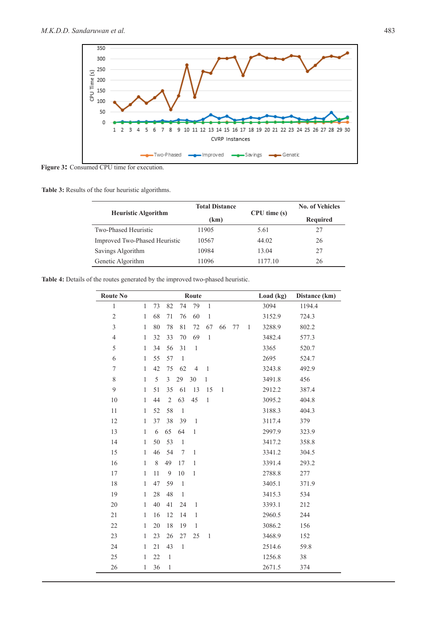

Figure 3: Consumed CPU time for execution.

**Table 3:** Results of the four heuristic algorithms.

| <b>Heuristic Algorithm</b>    | <b>Total Distance</b> | CPU time(s) | <b>No. of Vehicles</b> |  |
|-------------------------------|-----------------------|-------------|------------------------|--|
|                               | (km)                  |             | <b>Required</b>        |  |
| Two-Phased Heuristic          | 11905                 | 5.61        | 27                     |  |
| Improved Two-Phased Heuristic | 10567                 | 44.02       | 26                     |  |
| Savings Algorithm             | 10984                 | 13.04       | 27                     |  |
| Genetic Algorithm             | 11096                 | 1177.10     | 26                     |  |

| <b>Route No</b> |              |             |                |                | Route          |              |              |    |              | Load (kg) | Distance (km) |
|-----------------|--------------|-------------|----------------|----------------|----------------|--------------|--------------|----|--------------|-----------|---------------|
| $\mathbf{1}$    | $\mathbf{1}$ | 73          | 82             | 74             | 79             | $\mathbf{1}$ |              |    |              | 3094      | 1194.4        |
| $\overline{c}$  | $\mathbf{1}$ | 68          | 71             | 76             | 60             | $\mathbf{1}$ |              |    |              | 3152.9    | 724.3         |
| $\overline{3}$  | $\mathbf{1}$ | 80          | 78             | 81             | 72             | 67           | 66           | 77 | $\mathbf{1}$ | 3288.9    | 802.2         |
| $\overline{4}$  | $\mathbf{1}$ | 32          | 33             | 70             | 69             | $\mathbf{1}$ |              |    |              | 3482.4    | 577.3         |
| 5               | $\mathbf{1}$ | 34          | 56             | 31             | $\mathbf{1}$   |              |              |    |              | 3365      | 520.7         |
| 6               | $\mathbf{1}$ | 55          | 57             | $\mathbf{1}$   |                |              |              |    |              | 2695      | 524.7         |
| $\tau$          | $\mathbf{1}$ | 42          | 75             | 62             | $\overline{4}$ | $\mathbf{1}$ |              |    |              | 3243.8    | 492.9         |
| $\,$ $\,$       | $\mathbf{1}$ | 5           | $\overline{3}$ | 29             | 30             | $\,1$        |              |    |              | 3491.8    | 456           |
| 9               | $\mathbf{1}$ | 51          | 35             | 61             | 13             | 15           | $\mathbf{1}$ |    |              | 2912.2    | 387.4         |
| 10              | $\mathbf{1}$ | 44          | $\mathfrak{2}$ | 63             | 45             | $\mathbf{1}$ |              |    |              | 3095.2    | 404.8         |
| 11              | $\mathbf{1}$ | 52          | 58             | $\mathbf{1}$   |                |              |              |    |              | 3188.3    | 404.3         |
| 12              | $\mathbf{1}$ | 37          | 38             | 39             | $\mathbf{1}$   |              |              |    |              | 3117.4    | 379           |
| 13              | $\mathbf{1}$ | 6           | 65             | 64             | $\mathbf{1}$   |              |              |    |              | 2997.9    | 323.9         |
| 14              | $\mathbf{1}$ | 50          | 53             | $\mathbf{1}$   |                |              |              |    |              | 3417.2    | 358.8         |
| 15              | $\mathbf{1}$ | 46          | 54             | 7              | $\mathbf{1}$   |              |              |    |              | 3341.2    | 304.5         |
| 16              | $\mathbf{1}$ | $\,$ 8 $\,$ | 49             | 17             | $\mathbf{1}$   |              |              |    |              | 3391.4    | 293.2         |
| 17              | $\mathbf{1}$ | 11          | 9              | 10             | $\mathbf{1}$   |              |              |    |              | 2788.8    | 277           |
| 18              | $\mathbf{1}$ | 47          | 59             | $\overline{1}$ |                |              |              |    |              | 3405.1    | 371.9         |
| 19              | $\mathbf{1}$ | 28          | 48             | $\mathbf{1}$   |                |              |              |    |              | 3415.3    | 534           |
| 20              | $\mathbf{1}$ | 40          | 41             | 24             | $\mathbf{1}$   |              |              |    |              | 3393.1    | 212           |
| 21              | $\mathbf{1}$ | 16          | 12             | 14             | $\mathbf{1}$   |              |              |    |              | 2960.5    | 244           |
| 22              | $\mathbf{1}$ | 20          | 18             | 19             | $\mathbf{1}$   |              |              |    |              | 3086.2    | 156           |
| 23              | 1            | 23          | 26             | 27             | 25             | $\mathbf{1}$ |              |    |              | 3468.9    | 152           |
| 24              | $\mathbf{1}$ | 21          | 43             | $\mathbf{1}$   |                |              |              |    |              | 2514.6    | 59.8          |
| 25              | $\mathbf{1}$ | 22          | $\mathbf{1}$   |                |                |              |              |    |              | 1256.8    | 38            |
| 26              | $\mathbf{1}$ | 36          | $\,1$          |                |                |              |              |    |              | 2671.5    | 374           |